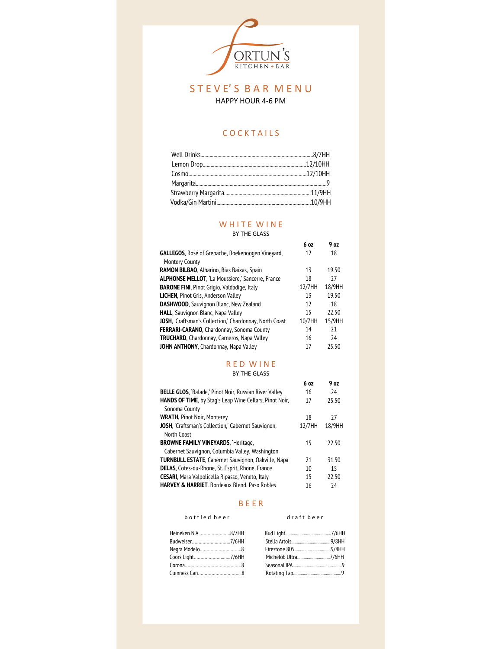

### S T E V E' S B A R M E N U HAPPY HOUR 4-6 PM

### **COCKTAILS**

#### WHITE WINE BY THE GLASS

#### **GALLEGOS**, Rosé of Grenache, Boekenoogen Vineyard, Montery County **RAMON BILBAO**, Albarino, Rias Baixas, Spain **ALPHONSE MELLOT**, 'La Moussiere,' Sancerre, France **BARONE FINI**, Pinot Grigio, Valdadige, Italy **LICHEN**, Pinot Gris, Anderson Valley **DASHWOOD**, Sauvignon Blanc, New Zealand **HALL**, Sauvignon Blanc, Napa Valley **JOSH**, 'Craftsman's Collection,' Chardonnay, North Coast **FERRARI-CARANO**, Chardonnay, Sonoma County **TRUCHARD**, Chardonnay, Carneros, Napa Valley **JOHN ANTHONY**, Chardonnay, Napa Valley **6 oz** 12 13 18 12/7HH 18/9HH 13 12 15 10/7HH 15/9HH 14 16 17 **9 oz** 18 19.50 27 19.50 18 22.50 21 24 25.50

# R E D W I N E

BY THE GLASS

|                                                               | 6 oz   | 9 <sub>oz</sub> |
|---------------------------------------------------------------|--------|-----------------|
| <b>BELLE GLOS, 'Balade,' Pinot Noir, Russian River Valley</b> | 16     | 74              |
| HANDS OF TIME, by Stag's Leap Wine Cellars, Pinot Noir,       | 17     | 25.50           |
| Sonoma County                                                 |        |                 |
| <b>WRATH, Pinot Noir, Monterey</b>                            | 18     | 27              |
| JOSH, 'Craftsman's Collection,' Cabernet Sauvignon,           | 12/7HH | 18/9HH          |
| North Coast                                                   |        |                 |
| <b>BROWNE FAMILY VINEYARDS, 'Heritage,</b>                    | 15     | 22.50           |
| Cabernet Sauvignon, Columbia Valley, Washington               |        |                 |
| <b>TURNBULL ESTATE, Cabernet Sauvignon, Oakville, Napa</b>    | 21     | 31.50           |
| <b>DELAS, Cotes-du-Rhone, St. Esprit, Rhone, France</b>       | 10     | 15              |
| <b>CESARI</b> , Mara Valpolicella Ripasso, Veneto, Italy      | 15     | 22.50           |
| <b>HARVEY &amp; HARRIET</b> Bordeaux Blend, Paso Robles       | 16     | 74              |

#### B E E R

#### b o t t l e d b e e r

#### d r a f t b e e r

| Heineken N.A. 8/7HH |                     |               |
|---------------------|---------------------|---------------|
|                     |                     |               |
|                     |                     |               |
| Coors Light7/6HH    | Michelob Ultra7/6HH |               |
|                     |                     |               |
|                     |                     |               |
|                     |                     | Negra Modelo8 |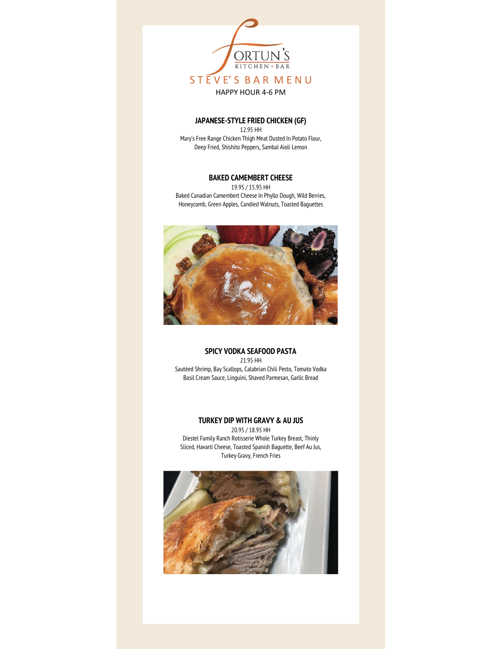

### **JAPANESE-STYLE FRIED CHICKEN (GF)**

12.95 HH Mary's Free Range Chicken Thigh Meat Dusted In Potato Flour, Deep Fried, Shishito Peppers, Sambal Aioli Lemon

### **BAKED CAMEMBERT CHEESE**

19.95 / 15.95 HH Baked Canadian Camembert Cheese In Phyllo Dough, Wild Berries, Honeycomb, Green Apples, Candied Walnuts, Toasted Baguettes



#### **SPICY VODKA SEAFOOD PASTA** 21.95 HH

Sautéed Shrimp, Bay Scallops, Calabrian Chili Pesto, Tomato Vodka Basil Cream Sauce, Linguini, Shaved Parmesan, Garlic Bread

#### **TURKEY DIP WITH GRAVY & AU JUS**

20.95 / 18.95 HH Diestel Family Ranch Rotisserie Whole Turkey Breast, Thinly Sliced, Havarti Cheese, Toasted Spanish Baguette, Beef Au Jus, Turkey Gravy, French Fries

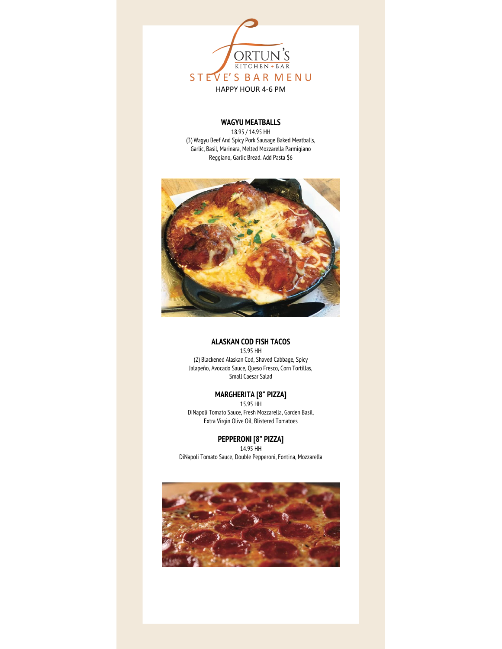

### **WAGYU MEATBALLS**

18.95 / 14.95 HH (3) Wagyu Beef And Spicy Pork Sausage Baked Meatballs, Garlic, Basil, Marinara, Melted Mozzarella Parmigiano Reggiano, Garlic Bread. Add Pasta \$6



#### **ALASKAN COD FISH TACOS**

15.95 HH (2) Blackened Alaskan Cod, Shaved Cabbage, Spicy Jalapeño, Avocado Sauce, Queso Fresco, Corn Tortillas, Small Caesar Salad

### **MARGHERITA [8" PIZZA]**

15.95 HH DiNapoli Tomato Sauce, Fresh Mozzarella, Garden Basil, Extra Virgin Olive Oil, Blistered Tomatoes

**PEPPERONI [8" PIZZA]**  14.95 HH DiNapoli Tomato Sauce, Double Pepperoni, Fontina, Mozzarella